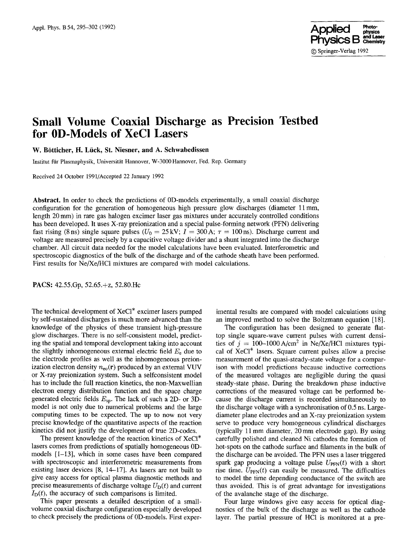

# **Small Volume Coaxial Discharge as Precision Testbed for 0D-Models of XeCI Lasers**

**W. B6tticher, H. Liick, St. Niesner, and A. Schwabedissen** 

Institut für Plasmaphysik, Universität Hannover, W-3000 Hannover, Fed. Rep. Germany

Received 24 October 1991/Accepted 22 January 1992

**Abstract.** In order to check the predictions of 0D-models experimentally, a small coaxial discharge configuration for the generation of homogeneous high pressure glow discharges (diameter 11 mm, length 20 mm) in rare gas halogen excimer laser gas mixtures under accurately controlled conditions has been developed. It uses X-ray preionization and a special pulse-forming network (PFN) delivering fast rising (8 ns) single square pulses ( $U_0 = 25 \text{ kV}$ ;  $I = 300 \text{ A}$ ;  $\tau = 100 \text{ ns}$ ). Discharge current and voltage are measured precisely by a capacitive voltage divider and a shunt integrated into the discharge chamber. All circuit data needed for the model calculations have been evaluated. Interferometric and spectroscopic diagnostics of the bulk of the discharge and of the cathode sheath have been performed. First results for Ne/Xe/HC1 mixtures are compared with model calculations.

PACS: 42.55.Gp, 52.65.+z, 52.80.Hc

The technical development of XeCl\* excimer lasers pumped by self-sustained discharges is much more advanced than the knowledge of the physics of these transient high-pressure glow discharges. There is no self-consistent model, predicting the spatial and temporal development taking into account the slightly inhomogeneous external electric field  $E<sub>e</sub>$  due to the electrode profiles as well as the inhomogeneous preionization electron density  $n_{\rm eo}(\mathbf{r})$  produced by an external VUV or X-ray preionization system. Such a selfconsistent model has to include the full reaction kinetics, the non-Maxwellian electron energy distribution function and the space charge generated electric fields  $E_{sp}$ . The lack of such a 2D- or 3Dmodel is not only due to numerical problems and the large computing times to be expected. The up to now not very precise knowledge of the quantitative aspects of the reaction kinetics did not justify the development of true 2D-codes.

The present knowledge of the reaction kinetics of XeCI\* lasers comes from predictions of spatially homogeneous 0Dmodels [i-13], which in some cases have been compared with spectroscopic and interferometric measurements from existing laser devices [8, 14-17]. As lasers are not built to give easy access for optical plasma diagnostic methods and precise measurements of discharge voltage  $U_{\text{D}}(t)$  and current  $I_D(t)$ , the accuracy of such comparisons is limited.

This paper presents a detailed description of a smallvolume coaxial discharge configuration especially developed to check precisely the predictions of 0D-models. First exper-

imental results are compared with model calculations using an improved method to solve the Boltzmann equation [18].

The configuration has been designed to generate flattop single square-wave current pulses with current densities of  $j = 100-1000 \text{ A/cm}^2$  in Ne/Xe/HCl mixtures typical of XeCI\* lasers. Square current pulses allow a precise measurement of the quasi-steady-state voltage for a comparison with model predictions because inductive corrections of the measured voltages are negligible during the quasi steady-state phase. During the breakdown phase inductive corrections of the measured voltage can be performed because the discharge current is recorded simultaneously to the discharge voltage with a synchronisation of 0.5 ns. Largediameter plane electrodes and an X-ray preionization system serve to produce very homogeneous cylindrical discharges (typically 11 mm diameter, 20 mm electrode gap). By using carefully polished and cleaned Ni cathodes the formation of hot-spots on the cathode surface and filaments in the bulk of the discharge can be avoided. The PFN uses a laser triggered spark gap producing a voltage pulse  $U_{\text{PPN}}(t)$  with a short rise time.  $U_{\text{PFN}}(t)$  can easily be measured. The difficulties to model the time depending conductance of the switch are thus avoided. This is of great advantage for investigations of the avalanche stage of the discharge.

Four large windows give easy access for optical diagnostics of the bulk of the discharge as well as the cathode layer. The partial pressure of HC1 is monitored at a pre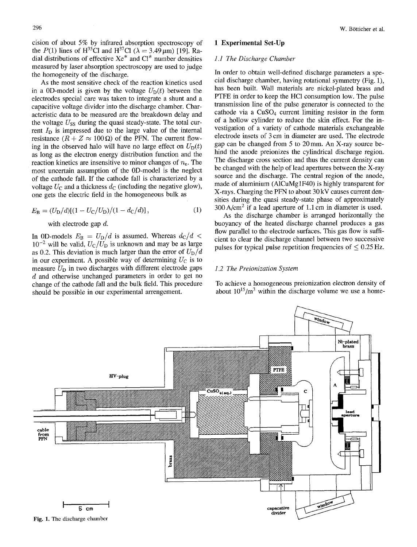cision of about 5% by infrared absorption spectroscopy of the  $P(1)$  lines of H<sup>35</sup>C1 and H<sup>37</sup>Cl ( $\lambda = 3.49 \,\mu$ m) [19]. Radial distributions of effective  $Xe^*$  and  $Cl^*$  number densities measured by laser absorption spectroscopy are used to judge the homogeneity of the discharge.

As the most sensitive check of the reaction kinetics used in a 0D-model is given by the voltage  $U<sub>D</sub>(t)$  between the electrodes special care was taken to integrate a shunt and a capacitive voltage divider into the discharge chamber. Characteristic data to be measured are the breakdown delay and the voltage  $U_{SS}$  during the quasi steady-state. The total current  $I<sub>D</sub>$  is impressed due to the large value of the internal resistance  $(R + Z \approx 100 \Omega)$  of the PFN. The current flowing in the observed halo will have no large effect on  $U_D(t)$ as long as the electron energy distribution function and the reaction kinetics are insensitive to minor changes of  $n_e$ . The most uncertain assumption of the 0D-model is the neglect of the cathode fall. If the cathode fall is characterized by a voltage  $U_C$  and a thickness  $d_C$  (including the negative glow), one gets the electric field in the homogeneous bulk as

$$
E_{\rm B} = (U_{\rm D}/d)[(1 - U_{\rm C}/U_{\rm D})/(1 - d_{\rm C}/d)],\tag{1}
$$

with electrode gap d.

In 0D-models  $E_B = U_D/d$  is assumed. Whereas  $d_C/d <$  $10^{-2}$  will be valid,  $U_C/U_D$  is unknown and may be as large as 0.2. This deviation is much larger than the error of  $U_D/d$ in our experiment. A possible way of determining  $U_C$  is to measure  $U_D$  in two discharges with different electrode gaps d and otherwise unchanged parameters in order to get no change of the cathode fall and the bulk field. This procedure should be possible in our experimental arrengement.

# 1 Experimental Set-Up

### *1.1 The Discharge Chamber*

In order to obtain well-defined discharge parameters a special discharge chamber, having rotational symmetry (Fig. 1), has been built. Wall materials are nickel-plated brass and PTFE in order to keep the HCl consumption low. The pulse transmission line of the pulse generator is connected to the cathode via a  $CuSO<sub>4</sub>$  current limiting resistor in the form of a hollow cylinder to reduce the skin effect. For the investigation of a variety of cathode materials exchangeable electrode insets of 3 cm in diameter are used. The electrode gap can be changed from 5 to 20 mm. An X-ray source behind the anode preionizes the cylindrical discharge region. The discharge cross section and thus the current density can be changed with the help of lead apertures between the X-ray source and the discharge. The central region of the anode, made of aluminium (A1CuMglF40) is highly transparent for X-rays. Charging the PFN to about 30 kV causes current densities during the quasi steady-state phase of approximately  $300 \text{ A/cm}^2$  if a lead aperture of 1.1 cm in diameter is used.

As the discharge chamber is arranged horizontally the buoyancy of the heated discharge channel produces a gas flow parallel to the electrode surfaces. This gas flow is sufficient to clear the discharge channel between two successive pulses for typical pulse repetition frequencies of  $\leq 0.25$  Hz.

#### *1.2 The Preionization System*

To achieve a homogeneous preionization electron density of about  $10^{15}/m^3$  within the discharge volume we use a home-

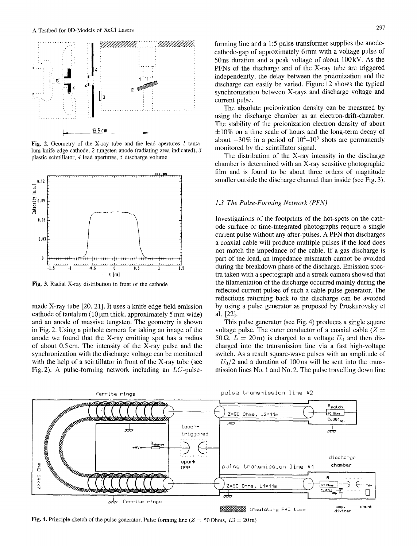

Fig. 2. Geometry of the X-ray tube and the lead apertures 1 tantalum knife edge cathode, 2 tungsten anode (radiating area indicated), 3 plastic scintillator, 4 lead apertures, 5 discharge volume



Fig. 3. Radial X-ray distribution in front of the cathode

made X-ray tube [20, 21]. It uses a knife edge field emission cathode of tantalum  $(10 \mu m)$  thick, approximately 5 mm wide) and an anode of massive tungsten. The geometry is shown in Fig. 2. Using a pinhole camera for taking an image of the anode we found that the X-ray emitting spot has a radius of about 0.5 cm. The intensity of the X-ray pulse and the synchronization with the discharge voltage can be monitored with the help of a scintillator in front of the X-ray tube (see Fig. 2). A pulse-forming network including an LC-pulseforming line and a 1:5 pulse transformer supplies the anodecathode-gap of approximately 6 mm with a voltage pulse of 50ns duration and a peak voltage of about 100kV. As the PFNs of the discharge and of the X-ray tube are triggered independently, the delay between the preionization and the discharge can easily be varied. Figure 12 shows the typical synchronization between X-rays and discharge voltage and current pulse.

The absolute preionization density can be measured by using the discharge chamber as an electron-drift-chamber. The stability of the preionization electron density of about  $\pm 10\%$  on a time scale of hours and the long-term decay of about  $-30\%$  in a period of  $10^4$ - $10^5$  shots are permanently monitored by the scintillator signal.

The distribution of the X-ray intensity in the discharge chamber is determined with an X-ray sensitive photographic film and is found to be about three orders of magnitude smaller outside the discharge channel than inside (see Fig. 3).

## *1.3 The Pulse-Forming Network (PFN)*

Investigations of the footprints of the hot-spots on the cathode surface or time-integrated photographs require a single current pulse without any after-pulses. A PFN that discharges a coaxial cable will produce multiple pulses if the load does not match the impedance of the cable. If a gas discharge is part of the load, an impedance mismatch cannot be avoided during the breakdown phase of the discharge. Emission spectra taken with a spectograph and a streak camera showed that the filamentation of the discharge occurred mainly during the reflected current pulses of such a cable pulse generator. The reflections returning back to the discharge can be avoided by using a pulse generator as proposed by Proskurovsky et al. [22].

This pulse generator (see Fig. 4) produces a single square voltage pulse. The outer conductor of a coaxial cable  $(Z =$ 50  $\Omega$ ,  $L = 20$  m) is charged to a voltage  $U_0$  and then discharged into the transmission line via a fast high-voltage switch. As a result square-wave pulses with an amplitude of  $-U_0/2$  and a duration of 100 ns will be sent into the transmission lines No. 1 and No. 2. The pulse travelling down line



Fig. 4. Principle-sketch of the pulse generator. Pulse forming line ( $Z = 50$  Ohms,  $L3 = 20$  m)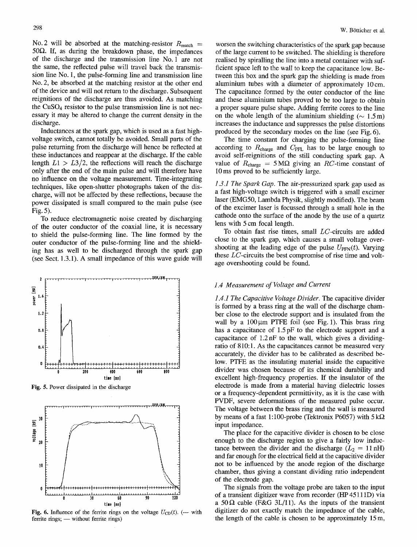No. 2 will be absorbed at the matching-resistor  $R_{\text{match}} =$ 50 $\Omega$ . If, as during the breakdown phase, the impedances of the discharge and the transmission line No. 1 are not the same, the reflected pulse will travel back the transmission line No. 1, the pulse-forming line and transmission line No. 2, be absorbed at the matching resistor at the other end of the device and will not return to the discharge. Subsequent reignitions of the discharge are thus avoided. As matching the  $CuSO<sub>4</sub>$  resistor to the pulse transmission line is not necessary it may be altered to change the current density in the discharge.

Inductances at the spark gap, which is used as a fast highvoltage switch, cannot totally be avoided. Small parts of the pulse returning from the discharge will hence be reflected at these inductances and reappear at the discharge. If the cable length  $L1 > L3/2$ , the reflections will reach the discharge only after the end of the main pulse and will therefore have no influence on the voltage measurement. Time-integrating techniques, like open-shutter photographs taken of the discharge, will not be affected by these reflections, because the power dissipated is small compared to the main pulse (see Fig. 5).

To reduce electromagnetic noise created by discharging of the outer conductor of the coaxial line, it is necessary to shield the pulse-forming line. The line formed by the outer conductor of the pulse-forming line and the shielding has as well to be discharged through the spark gap (see Sect. 1.3.1). A small impedance of this wave guide will



Fig. 5. Power dissipated in the discharge

**1.2** 

Ξ pouer  $1.0$ 



**Fig. 6.** Influence of the ferrite rings on the voltage  $U_{CD}(t)$ . (--- with  $f$  ferrite rings;  $-$  without ferrite rings)

worsen the switching characteristics of the spark gap because of the large current to be switched. The shielding is therefore realised by spiralling the line into a metal container with sufficient space left to the wall to keep the capacitance low. Between this box and the spark gap the shielding is made from aluminium tubes with a diameter of approximately 10cm. The capacitance formed by the outer conductor of the line and these aluminium tubes proved to be too large to obtain a proper square pulse shape. Adding ferrite cores to the line on the whole length of the aluminium shielding ( $\sim 1.5$  m) increases the inductance and suppresses the pulse distortions produced by the secondary modes on the line (see Fig. 6).

The time constant for charging the pulse-forming line according to  $R_{\text{charge}}$  and  $C_{\text{PFL}}$  has to be large enough to avoid self-reignitions of the still conducting spark gap. A value of  $R_{charge} = 5 M\Omega$  giving an RC-time constant of 10 ms proved to be sufficiently large.

*1.3.1 The Spark Gap.* The air-pressurized spark gap used as a fast high-voltage switch is triggered with a small excimer laser (EMG50, Lambda Physik, slightly modified). The beam of the excimer laser is focussed through a small hole in the cathode onto the surface of the anode by the use of a quartz lens with 5 cm focal length.

To obtain fast rise times, small LC-circuits are added close to the spark gap, which causes a small voltage overshooting at the leading edge of the pulse  $U_{\text{PFN}}(t)$ . Varying these LC-circuits the best compromise of rise time and voltage overshooting could be found.

# *1.4 Measurement of Voltage and Current*

*1.4.1 The Capacitive Voltage Divider.* The capacitive divider is formed by a brass ring at the wall of the discharge chamber close to the electrode support and is insulated from the wall by a  $100~\mu$ m PTFE foil (see Fig. 1). This brass ring has a capacitance of 1.5 pF to the electrode support and a capacitance of 1.2 nF to the wall, which gives a dividingratio of 810:1. As the capacitances cannot be measured very accurately, the divider has to be calibrated as described below. PTFE as the insulating material inside the capacitive divider was chosen because of its chemical durability and excellent high-frequency properties. If the insulator of the electrode is made from a material having dielectric losses or a frequency-dependent permittivity, as it is the case with PVDF, severe deformations of the measured pulse occur. The voltage between the brass ring and the wall is measured by means of a fast 1:100-probe (Tektronix P6057) with  $5 \text{ k}\Omega$ input impedance.

The place for the capacitive divider is chosen to be close enough to the discharge region to give a fairly low inductance between the divider and the discharge  $(L_2 = 11 \text{ nH})$ and far enough for the electrical field at the capacitive divider not to be influenced by the anode region of the discharge chamber, thus giving a constant dividing ratio independent of the electrode gap.

The signals from the voltage probe are taken to the input of a transient digitizer wave from recorder (HP 45111D) via a 50 $\Omega$  cable (F&G 3L/11). As the inputs of the transient digitizer do not exactly match the impedance of the cable, the length of the cable is chosen to be approximately 15 m,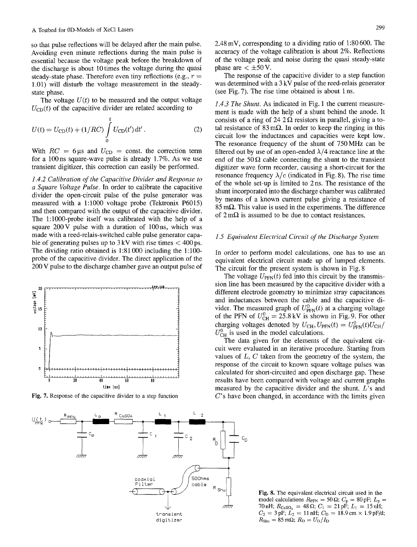so that pulse reflections will be delayed after the main pulse. Avoiding even minute reflections during the main pulse is essential because the voltage peak before the breakdown of the discharge is about 10 times the voltage during the quasi steady-state phase. Therefore even tiny reflections (e.g.,  $r =$ 1.01) will disturb the voltage measurement in the steadystate phase.

The voltage  $U(t)$  to be measured and the output voltage  $U_{\text{CD}}(t)$  of the capacitive divider are related according to

$$
U(t) = U_{\rm CD}(t) + (1/RC) \int_{0}^{t} U_{\rm CD}(t') dt'.
$$
 (2)

With  $RC = 6 \,\mu s$  and  $U_{CD} = \text{const.}$  the correction term for a 100 ns square-wave pulse is already  $1.7\%$ . As we use transient digitizer, this correction can easily be performed.

*1.4.2 Calibration of the Capacitive Divider and Response to a Square Voltage Pulse.* In order to calibrate the capacitive divider the open-circuit pulse of the pulse generator was measured with a 1:1000 voltage probe (Tektronix P6015) and then compared with the output of the capacitive divider. The l:1000-probe itself was calibrated with the help of a square  $200 \text{ V}$  pulse with a duration of  $100 \text{ ns}$ , which was made with a reed-relais-switched cable pulse generator capable of generating pulses up to  $3 \text{ kV}$  with rise times  $\lt$  400 ps. The dividing ratio obtained is 1:81 000 including the 1:100 probe of the capacitive divider. The direct application of the 200 V pulse to the discharge chamber gave an output pulse of



Fig. 7. Response of the capacitive divider to a step function

2.48 mV, corresponding to a dividing ratio of 1:80 600. The accuracy of the voltage calibration is about 2%. Reflections of the voltage peak and noise during the quasi steady-state phase are  $\lt \pm 50$  V.

The response of the capacitive divider to a step function was determined with a 3 kV pulse of the reed-relais generator (see Fig. 7). The rise time obtained is about 1 ns.

*1.4.3 The Shunt.* As indicated in Fig. 1 the current measurement is made with the help of a shunt behind the anode. It consists of a ring of 24 2  $\Omega$  resistors in parallel, giving a total resistance of  $83 \text{ m}\Omega$ . In order to keep the ringing in this circuit low the inductances and capacities were kept low. The resonance frequency of the shunt of 750 MHz can be filtered out by use of an open-ended  $\lambda/4$  reactance line at the end of the  $50 \Omega$  cable connecting the shunt to the transient digitizer wave form recorder, causing a short-circuit for the resonance frequency  $\lambda/c$  (indicated in Fig. 8). The rise time of the whole set-up is limited to 2 ns. The resistance of the shunt incorporated into the discharge chamber was calibrated by means of a known current pulse giving a resistance of  $85 \text{ m}\Omega$ . This value is used in the experiments. The difference of  $2 \text{ m}\Omega$  is assumed to be due to contact resistances.

### *1.5 Equivalent Electrical Circuit of the Discharge System*

In order to perform model calculations, one has to use an equivalent electrical circuit made up of lumped elements. The circuit for the present system is shown in Fig. 8

The voltage  $U_{\text{PPN}}(t)$  fed into this circuit by the transmission line has been measured by the capacitive divider with a different electrode geometry to minimize stray capacitances and inductances between the cable and the capacitive divider. The measured graph of  $U_{\text{PFN}}^0(t)$  at a charging voltage of the PFN of  $U_{CH}^0 = 25.8 \text{ kV}$  is shown in Fig. 9. For other charging voltages denoted by  $U_{\text{CH}}$ ,  $U_{\text{PFN}}(t) = U_{\text{PFN}}^{0}(t)U_{\text{CH}}/$  $U_{\text{CH}}^0$  is used in the model calculations.

The data given for the elements of the equivalent circuit were evaluated in an iterative procedure. Starting from values of  $L, C$  taken from the geometry of the system, the response of the circuit to known square voltage pulses was calculated for short-circuited and open discharge gap. These results have been compared with voltage and current graphs measured by the capacitive divider and the shunt. L's and  $C$ 's have been changed, in accordance with the limits given

Fig. 8. The equivalent electrical circuit used in the model calculations  $R_{\text{PFN}} = 50 \,\Omega$ ;  $C_{\text{p}} = 80 \,\text{pF}$ ;  $L_{\text{p}} =$ 70 nH;  $R_{CuSO_4} = 48 \Omega$ ;  $C_1 = 21 \text{ pF}$ ;  $L_1 = 15 \text{ nH}$ ;  $C_2 = 3 \text{ pF}; L_2 = 11 \text{ nH}; C_D = 18.9 \text{ cm} \times 1.9 \text{ pF/d};$  $R_{\text{Shu}} = 85 \text{ m}\Omega$ ;  $R_D = U_D/I_D$ 

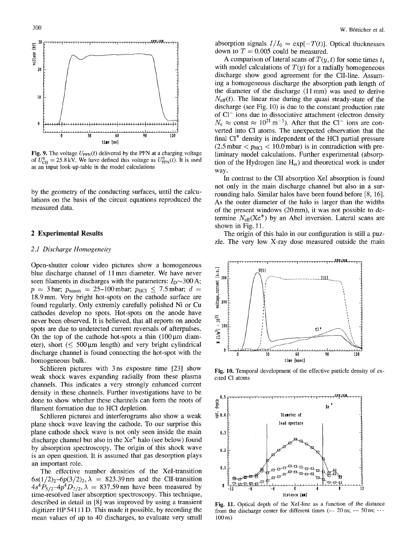

Fig. 9. The voltage  $U_{\text{PFN}}(t)$  delivered by the PFN at a charging voltage of  $U_{\text{CH}}^0 = 25.8 \text{ kV}$ . We have defined this voltage as  $U_{\text{PFN}}^0(t)$ . It is used as an input look-up-table in the model calculations

by the geometry of the conducting surfaces, until the calculations on the basis of the circuit equations reproduced the measured data.

#### **2 Experimental Results**

#### *2.1 Discharge Homogeneity*

Open-shutter colour video pictures show a homogeneous blue discharge channel of 11 mm diameter. We have never seen filaments in discharges with the parameters:  $I_D \sim 300 \text{ A}$ ;  $p = 3$  bar;  $p_{\text{xenon}} = 25{\text -}100$  mbar;  $p_{\text{HCl}} \le 7.5$  mbar;  $d =$ 18.9 mm. Very bright hot-spots on the cathode surface are found regularly. Only extremly carefully polished Ni or Cu cathodes develop no spots. Hot-spots on the anode have never been observed. It is believed, that all reports on anode spots are due to undetected current reversals of afterpulses. On the top of the cathode hot-spots a thin  $(100 \,\mu m)$  diameter), short  $(\leq 500 \,\mu m$  length) and very bright cylindrical discharge channel is found connecting the hot-spot with the homogeneous bulk.

Schlieren pictures with 3 ns exposure time [23] show weak shock waves expanding radially from these plasma channels• This indicates a very strongly enhanced current density in these channels. Further investigations have to be done to show whether these channels can form the roots of filament formation due to HCl depletion.

Schlieren pictures and interferograms also show a weak plane shock wave leaving the cathode. To our surprise this plane cathode shock wave is not only seen inside the main discharge channel but also in the Xe\* halo (see below) found by absorption spectroscopy. The origin of this shock wave is an open question. It is assumed that gas desorption plays an important role.

The effective number densities of the XeI-transition  $6s(1/2)_2$ -6 $p(3/2)_2$ ,  $\lambda = 823.39$  nm and the CII-transition  $4s^4P_{5/2}$ -4p<sup>4</sup> $D_{7/2}$ ,  $\lambda = 837.59$  nm have been measured by time-resolved laser absorption spectroscopy. This technique, described in detail in [8] was improved by using a transient digitizer HP 54111 D. This made it possible, by recording the mean values of up to 40 discharges, to evaluate very small absorption signals  $I/I_0 = \exp[-T(t)]$ . Optical thicknesses down to  $T = 0.005$  could be measured.

A comparison of lateral scans of  $T(y, t)$  for some times  $t_i$ with model calculations of  $T(y)$  for a radially homogeneous discharge show good agreement for the ClI-line. Assuming a homogeneous discharge the absorption path length of the diameter of the discharge  $(11 \text{ mm})$  was used to derive  $N<sub>eff</sub>(t)$ . The linear rise during the quasi steady-state of the discharge (see Fig. 10) is due to the constant production rate of Cl<sup>-</sup> ions due to dissociative attachment (electron density  $N_e \approx$  const  $\approx 10^{21} \text{ m}^{-3}$ ). After that the Cl<sup>-</sup> ions are converted into C1 atoms. The unexpected observation that the final CI\* density is independent of the HC1 partial pressure  $(2.5 \text{ mbar} < p_{\text{HCl}} < 10.0 \text{ mbar})$  is in contradiction with preliminary model calculations. Further experimental (absorption of the Hydrogen line  $H_{\alpha}$ ) and theoretical work is under way.

In contrast to the CII absorption XeI absorption is found not only in the main discharge channel but also in a surrounding halo. Similar halos have been found before [8, 16]. As the outer diameter of the halo is larger than the widths of the present windows  $(20 \text{ mm})$ , it was not possible to determine  $N_{\text{eff}}(Xe^*)$  by an Abel inversion. Lateral scans are shown in Fig. 11.

The origin of this halo in our configuration is still a puzzle. The very low X-ray dose measured outside the main



Fig. 10. Temporal development of the effective particle density of excited C1 atoms



Fig. 11. Optical depth of the XeI-line as a function of the distance from the discharge center for different times ( $-20$  ns;  $-50$  ns;  $\cdots$ 100 ns)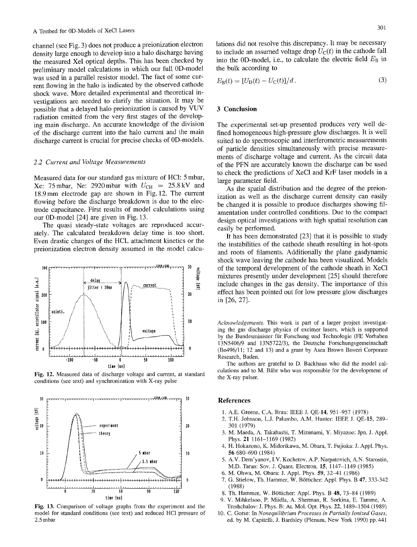channel (see Fig. 3) does not produce a preionization electron density large enough to develop into a halo discharge having the measured XeI optical depths. This has been checked by preliminary model calculations in which our full 0D-model was used in a parallel resistor model. The fact of some current flowing in the halo is indicated by the observed cathode shock wave. More detailed experimental and theoretical investigations are needed to clarify the situation. It may be possible that a delayed halo preionization is caused by VUV radiation emitted from the very first stages of the developing main discharge. An accurate knowledge of the division of the discharge current into the halo current and the main discharge current is crucial for precise checks of 0D-models.

#### *2.2 Current and Voltage Measurements*

Measured data for our standard gas mixture of HCI: 5 mbar, Xe: 75 mbar, Ne: 2920 mbar with  $U_{\text{CH}} = 25.8 \text{ kV}$  and 18.9mm electrode gap are shown in Fig. 12. The current flowing before the discharge breakdown is due to the electrode capacitance. First results of model calculations using our 0D-model [24] are given in Fig. 13.

The quasi steady-state voltages are reproduced accurately. The calculated breakdown delay time is too short. Even drastic changes of the HCL attachment kinetics or the preionization electron density assumed in the model calcu-



Fig. 12. Measured data of discharge voltage and current, at standard conditions (see text) and synchronization with X-ray pulse



Fig. 13. Comparison of voltage graphs from the experiment and the model for standard conditions (see text) and reduced HC1 pressure of 2.5 mbar

lations did not resolve this discrepancy. It may be necessary to include an assumed voltage drop  $U_C(t)$  in the cathode fall into the 0D-model, i.e., to calculate the electric field  $E_B$  in the bulk according to

$$
E_{\mathbf{B}}(t) = [U_{\mathbf{D}}(t) - U_{\mathbf{C}}(t)]/d.
$$
 (3)

## 3 **Conclusion**

The experimental set-up presented produces very well defined homogeneous high-pressure glow discharges. It is well suited to do spectroscopic and interferometric measurements of particle densities simultaneously with precise measurements of discharge voltage and current. As the circuit data of the PFN are accurately known the discharge can be used to check the predictions of XeC1 and KrF laser models in a large parameter field.

As the spatial distribution and the degree of the preionization as well as the discharge current density can easily be changed it is possible to produce discharges showing filamentation under controlled conditions. Due to the compact design optical investigations with high spatial resolution can easily be performed.

It has been demonstrated [23] that it is possible to study the instabilities of the cathode sheath resulting in hot-spots and roots of filaments. Additionally the plane gasdynamic shock wave leaving the cathode has been visualized. Models of the temporal development of the cathode sheath in XeC1 mixtures presently under development [25] should therefore include changes in the gas density. The importance of this effect has been pointed out for low pressure glow discharges in [26, 27].

*Acknowledgements.* This work is part of a larger project investigating the gas discharge physics of excimer lasers, which is supported by the Bundesminister fur Forschung und Technologie (FE Vorhaben 13N5406/9 and 13N5722/3), the Deutsche Forschungsgemeinsehaft (Bo496/11; 12 and 13) and a grant by Asea Brown Boveri Corporate Research, Baden.

The authors are grateful to D. Backhaus who did the model calculations and to M. Bähr who was responsible for the development of the X-ray pulser.

#### **References**

- 1. A.E. Greene, C.A. Brau: IEEE J. QE-14, 951-957 (1978)
- 2. T.H. Johnson, L.J. Palumbo, A.M. Hunter: IEEE J. QE-15, 289- 301 (1979)
- 3. M. Maeda, A. Takahashi, T. Mizunami, Y. Miyazoe: Jpn. J. Appl. Phys. 21 1161-1169 (1982)
- 4. H. Hokazono, K. Midorikawa, M. Obara, T. Fujioka: J. Appl. Phys. 56 680-690 (1984)
- 5. A.V. Dem'yanov, I.V. Kochetov, A.P. Narpatovich, A.N. Starostin, M.D. Taran: Soy. J. Quant. Electron. 15, 1147-1149 (1985)
- 6. M. Ohwa, M. Obara: J. Appl. Phys. 59, 32-41 (1986)
- 7. G. Stielow, Th. Hammer, W. B6tticher: Appl. Phys. B 47, 333-342 (1988)
- 8. Th. Hammer, W. B6tticher: Appl. Phys. B 48, 73-84 (1989)
- 9. V. Mihkelsoo, P. Miidla, A. Sherman, R. Sorkina, E. Tamme, A. Treshchalov: J. Phys. B: At. Mol. Opt. Phys. 22, 1489-1504 (1989)
- 10. C. Gorse: In *Nonequilibrium Processes in Partially Ionized Gases,*  ed. by M. Capitelli, J. Bardsley (Plenum, New York 1990) pp, 441